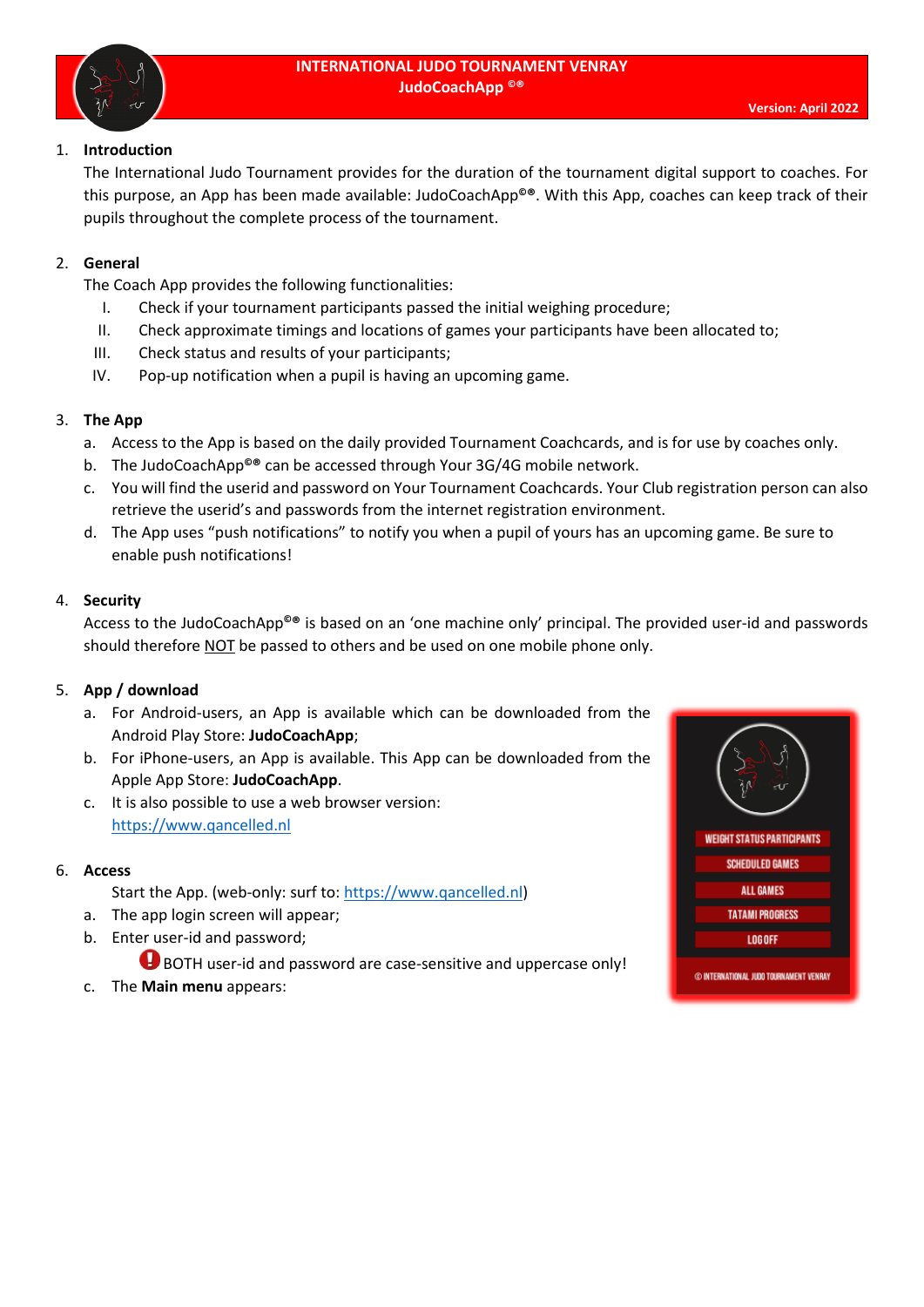

## 1. **Introduction**

The International Judo Tournament provides for the duration of the tournament digital support to coaches. For this purpose, an App has been made available: JudoCoachApp**©®**. With this App, coaches can keep track of their pupils throughout the complete process of the tournament.

## 2. **General**

The Coach App provides the following functionalities:

- I. Check if your tournament participants passed the initial weighing procedure;
- II. Check approximate timings and locations of games your participants have been allocated to;
- III. Check status and results of your participants;
- IV. Pop-up notification when a pupil is having an upcoming game.

## 3. **The App**

- a. Access to the App is based on the daily provided Tournament Coachcards, and is for use by coaches only.
- b. The JudoCoachApp**©®** can be accessed through Your 3G/4G mobile network.
- c. You will find the userid and password on Your Tournament Coachcards. Your Club registration person can also retrieve the userid's and passwords from the internet registration environment.
- d. The App uses "push notifications" to notify you when a pupil of yours has an upcoming game. Be sure to enable push notifications!

### 4. **Security**

Access to the JudoCoachApp**©®** is based on an 'one machine only' principal. The provided user-id and passwords should therefore NOT be passed to others and be used on one mobile phone only.

## 5. **App / download**

- a. For Android-users, an App is available which can be downloaded from the Android Play Store: **JudoCoachApp**;
- b. For iPhone-users, an App is available. This App can be downloaded from the Apple App Store: **JudoCoachApp**.
- c. It is also possible to use a web browser version: [https://www.qancelled.nl](https://www.qancelled.nl/)

### 6. **Access**

- Start the App. (web-only: surf to[: https://www.qancelled.nl\)](https://www.qancelled.nl/)
- a. The app login screen will appear;
- b. Enter user-id and password;

BOTH user-id and password are case-sensitive and uppercase only!

c. The **Main menu** appears: